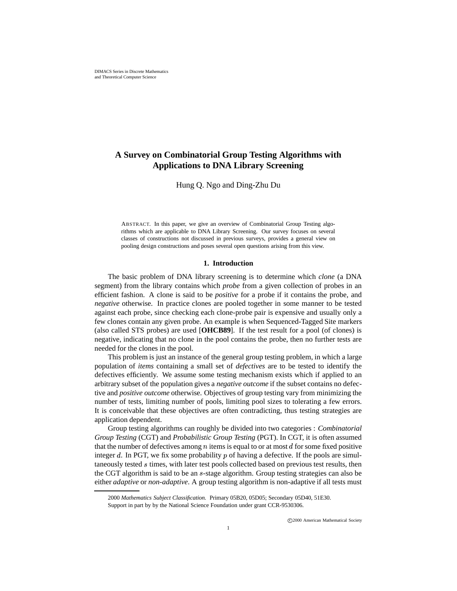# **A Survey on Combinatorial Group Testing Algorithms with Applications to DNA Library Screening**

Hung Q. Ngo and Ding-Zhu Du

ABSTRACT. In this paper, we give an overview of Combinatorial Group Testing algorithms which are applicable to DNA Library Screening. Our survey focuses on several classes of constructions not discussed in previous surveys, provides a general view on pooling design constructions and poses several open questions arising from this view.

#### **1. Introduction**

The basic problem of DNA library screening is to determine which *clone* (a DNA segment) from the library contains which *probe* from a given collection of probes in an efficient fashion. A clone is said to be *positive* for a probe if it contains the probe, and *negative* otherwise. In practice clones are pooled together in some manner to be tested against each probe, since checking each clone-probe pair is expensive and usually only a few clones contain any given probe. An example is when Sequenced-Tagged Site markers (also called STS probes) are used [**OHCB89**]. If the test result for a pool (of clones) is negative, indicating that no clone in the pool contains the probe, then no further tests are needed for the clones in the pool.

This problem is just an instance of the general group testing problem, in which a large population of *items* containing a small set of *defectives* are to be tested to identify the defectives efficiently. We assume some testing mechanism exists which if applied to an arbitrary subset of the population gives a *negative outcome* if the subset contains no defective and *positive outcome* otherwise. Objectives of group testing vary from minimizing the number of tests, limiting number of pools, limiting pool sizes to tolerating a few errors. It is conceivable that these objectives are often contradicting, thus testing strategies are application dependent.

Group testing algorithms can roughly be divided into two categories : *Combinatorial Group Testing* (CGT) and *Probabilistic Group Testing* (PGT). In CGT, it is often assumed that the number of defectives among  $n$  items is equal to or at most  $d$  for some fixed positive integer  $d$ . In PGT, we fix some probability  $p$  of having a defective. If the pools are simultaneously tested  $s$  times, with later test pools collected based on previous test results, then the CGT algorithm is said to be an  $s$ -stage algorithm. Group testing strategies can also be either *adaptive* or *non-adaptive*. A group testing algorithm is non-adaptive if all tests must

<sup>2000</sup> *Mathematics Subject Classification.* Primary 05B20, 05D05; Secondary 05D40, 51E30. Support in part by by the National Science Foundation under grant CCR-9530306.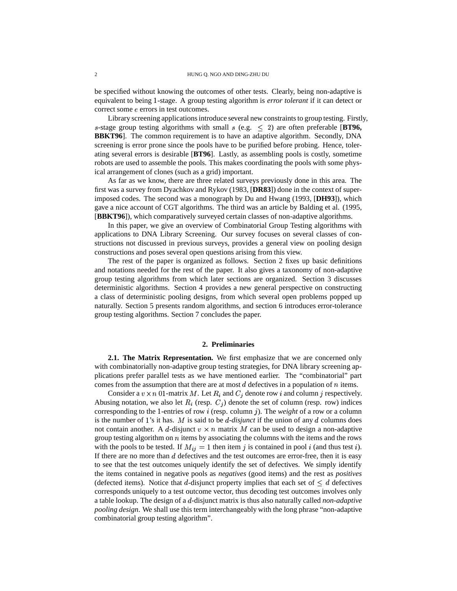be specified without knowing the outcomes of other tests. Clearly, being non-adaptive is equivalent to being 1-stage. A group testing algorithm is *error tolerant* if it can detect or correct some  $e$  errors in test outcomes.

Library screening applications introduce several new constraints to group testing. Firstly, s-stage group testing algorithms with small  $s$  (e.g.  $\leq$  2) are often preferable [BT96, **BBKT96**]. The common requirement is to have an adaptive algorithm. Secondly, DNA screening is error prone since the pools have to be purified before probing. Hence, tolerating several errors is desirable [**BT96**]. Lastly, as assembling pools is costly, sometime robots are used to assemble the pools. This makes coordinating the pools with some physical arrangement of clones (such as a grid) important.

As far as we know, there are three related surveys previously done in this area. The first was a survey from Dyachkov and Rykov (1983, [**DR83**]) done in the context of superimposed codes. The second was a monograph by Du and Hwang (1993, [**DH93**]), which gave a nice account of CGT algorithms. The third was an article by Balding et al. (1995, [**BBKT96**]), which comparatively surveyed certain classes of non-adaptive algorithms.

In this paper, we give an overview of Combinatorial Group Testing algorithms with applications to DNA Library Screening. Our survey focuses on several classes of constructions not discussed in previous surveys, provides a general view on pooling design constructions and poses several open questions arising from this view.

The rest of the paper is organized as follows. Section 2 fixes up basic definitions and notations needed for the rest of the paper. It also gives a taxonomy of non-adaptive group testing algorithms from which later sections are organized. Section 3 discusses deterministic algorithms. Section 4 provides a new general perspective on constructing a class of deterministic pooling designs, from which several open problems popped up naturally. Section 5 presents random algorithms, and section 6 introduces error-tolerance group testing algorithms. Section 7 concludes the paper.

### **2. Preliminaries**

**2.1. The Matrix Representation.** We first emphasize that we are concerned only with combinatorially non-adaptive group testing strategies, for DNA library screening applications prefer parallel tests as we have mentioned earlier. The "combinatorial" part comes from the assumption that there are at most  $d$  defectives in a population of  $n$  items.

Consider a  $v \times n$  01-matrix M. Let  $R_i$  and  $C_j$  denote row i and column j respectively. Abusing notation, we also let  $R_i$  (resp.  $C_j$ ) denote the set of column (resp. row) indices corresponding to the 1-entries of row  $i$  (resp. column  $j$ ). The *weight* of a row or a column is the number of 1's it has. M is said to be  $d$ -disjunct if the union of any  $d$  columns does not contain another. A d-disjunct  $v \times n$  matrix M can be used to design a non-adaptive group testing algorithm on  $n$  items by associating the columns with the items and the rows with the pools to be tested. If  $M_{ij} = 1$  then item j is contained in pool i (and thus test i). If there are no more than  $d$  defectives and the test outcomes are error-free, then it is easy to see that the test outcomes uniquely identify the set of defectives. We simply identify the items contained in negative pools as *negatives* (good items) and the rest as *positives* (defected items). Notice that d-disjunct property implies that each set of  $\leq d$  defectives corresponds uniquely to a test outcome vector, thus decoding test outcomes involves only a table lookup. The design of a d-disjunct matrix is thus also naturally called *non-adaptive pooling design*. We shall use this term interchangeably with the long phrase "non-adaptive combinatorial group testing algorithm".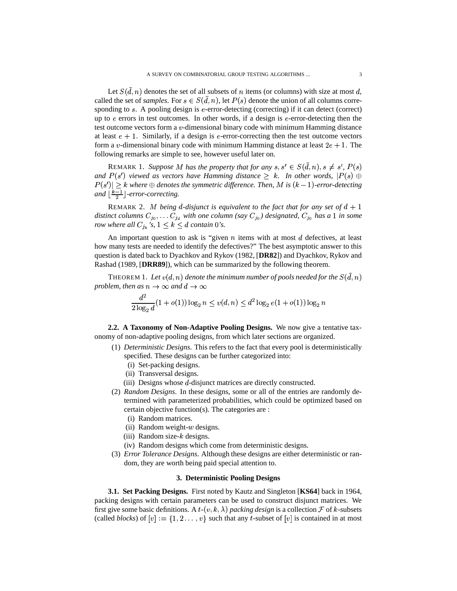Let  $S(d, n)$  denotes the set of all subsets of *n* items (or columns) with size at most d, called the set of *samples*. For  $s \in S(d, n)$ , let  $P(s)$  denote the union of all columns corresponding to  $s$ . A pooling design is  $e$ -error-detecting (correcting) if it can detect (correct) up to  $e$  errors in test outcomes. In other words, if a design is  $e$ -error-detecting then the test outcome vectors form a  $v$ -dimensional binary code with minimum Hamming distance at least  $e + 1$ . Similarly, if a design is  $e$ -error-correcting then the test outcome vectors form a v-dimensional binary code with minimum Hamming distance at least  $2e + 1$ . The following remarks are simple to see, however useful later on.

REMARK 1. Suppose M has the property that for any  $s, s' \in S(d, n), s \neq s'$ ,  $P(s)$ and  $P(s')$  viewed as vectors have Hamming distance  $\geq k$ . In other words,  $|P(s)| \oplus$  $P(s') \geq k$  where  $\oplus$  denotes the symmetric difference. Then, M is  $(k-1)$ -error-detecting *and*  $\left\lfloor \frac{k-1}{2} \right\rfloor$  *-error-correcting.* 

REMARK 2. M being d-disjunct is equivalent to the fact that for any set of  $d + 1$  *distinct columns*  $C_{j_0}, \ldots, C_{j_d}$  *with one column* (say  $C_{j_0}$ ) designated,  $C_{j_0}$  has a 1 in some *row where all*  $C_{j_k}$  *'s,*  $1 \leq k \leq d$  *contain* 0*'s.* 

An important question to ask is "given  $n$  items with at most  $d$  defectives, at least how many tests are needed to identify the defectives?" The best asymptotic answer to this question is dated back to Dyachkov and Rykov (1982, [**DR82**]) and Dyachkov, Rykov and Rashad (1989, [**DRR89**]), which can be summarized by the following theorem.

THEOREM  $1.$  Let  $v(d, n)$  denote the minimum number of pools needed for the  $S(d, n)$ *problem, then*  $as n \to \infty$  *and*  $d \to \infty$ 

$$
\frac{d^2}{2\log_2 d}(1+o(1))\log_2 n \le v(d,n) \le d^2\log_2 e(1+o(1))\log_2 n
$$

**2.2. A Taxonomy of Non-Adaptive Pooling Designs.** We now give a tentative taxonomy of non-adaptive pooling designs, from which later sections are organized.

- (1) *Deterministic Designs*. This refers to the fact that every pool is deterministically specified. These designs can be further categorized into:
	- (i) Set-packing designs.

 $\mathbf{A}$  , and the state of  $\mathbf{A}$ 

- (ii) Transversal designs.
- $(iii)$  Designs whose  $d$ -disjunct matrices are directly constructed.
- (2) *Random Designs*. In these designs, some or all of the entries are randomly determined with parameterized probabilities, which could be optimized based on certain objective function(s). The categories are :
	- (i) Random matrices.
	- (ii) Random weight- $w$  designs.
	- (iii) Random size- $k$  designs.
	- (iv) Random designs which come from deterministic designs.
- (3) *Error Tolerance Designs*. Although these designs are either deterministic or random, they are worth being paid special attention to.

#### **3. Deterministic Pooling Designs**

**3.1. Set Packing Designs.** First noted by Kautz and Singleton [**KS64**] back in 1964, packing designs with certain parameters can be used to construct disjunct matrices. We first give some basic definitions. A  $t$ - $(v, k, \lambda)$  packing design is a collection  $\mathcal F$  of  $k$ -subsets (called *blocks*) of  $[v] := \{1, 2, \ldots, v\}$  such that any *t*-subset of  $[v]$  is contained in at most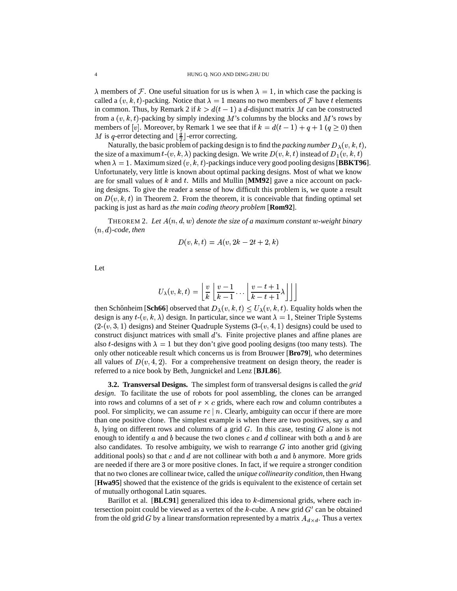$\lambda$  members of F. One useful situation for us is when  $\lambda = 1$ , in which case the packing is called a  $(v, k, t)$ -packing. Notice that  $\lambda = 1$  means no two members of  $\mathcal F$  have t elements in common. Thus, by Remark 2 if  $k > d(t-1)$  a d-disjunct matrix M can be constructed from a  $(v, k, t)$ -packing by simply indexing M's columns by the blocks and M's rows by members of [v]. Moreover, by Remark 1 we see that if  $k = d(t-1) + q + 1$  ( $q \ge 0$ ) then M is q-error detecting and  $\lfloor \frac{q}{2} \rfloor$ -error correcting.

Naturally, the basic problem of packing design is to find the *packing number*  $D_{\lambda}(v, k, t)$ , the size of a maximum  $t$ - $(v, k, \lambda)$  packing design. We write  $D(v, k, t)$  instead of  $D_1(v, k, t)$ when  $\lambda = 1$ . Maximum sized  $(v, k, t)$ -packings induce very good pooling designs [**BBKT96**]. Unfortunately, very little is known about optimal packing designs. Most of what we know are for small values of  $k$  and  $t$ . Mills and Mullin [**MM92**] gave a nice account on packing designs. To give the reader a sense of how difficult this problem is, we quote a result on  $D(v, k, t)$  in Theorem 2. From the theorem, it is conceivable that finding optimal set packing is just as hard as *the main coding theory problem* [**Rom92**].

THEOREM 2. Let  $A(n, d, w)$  denote the size of a maximum constant w-weight binary *-code, then*

$$
D(v,k,t) = A(v, 2k - 2t + 2, k)
$$

Let

$$
U_\lambda(v,k,t) = \left\lfloor \frac{v}{k} \left\lfloor \frac{v-1}{k-1} \ldots \left\lfloor \frac{v-t+1}{k-t+1} \lambda \right\rfloor \right\rfloor \right\rfloor
$$

then Schőnheim [Sch66] observed that  $D_{\lambda}(v, k, t) \le U_{\lambda}(v, k, t)$ . Equality holds when the design is any  $t$ - $(v, k, \lambda)$  design. In particular, since we want  $\lambda = 1$ , Steiner Triple Systems  $(2-(v, 3, 1)$  designs) and Steiner Quadruple Systems  $(3-(v, 4, 1)$  designs) could be used to construct disjunct matrices with small  $d$ 's. Finite projective planes and affine planes are also *t*-designs with  $\lambda = 1$  but they don't give good pooling designs (too many tests). The only other noticeable result which concerns us is from Brouwer [**Bro79**], who determines all values of  $D(v, 4, 2)$ . For a comprehensive treatment on design theory, the reader is referred to a nice book by Beth, Jungnickel and Lenz [**BJL86**].

**3.2. Transversal Designs.** The simplest form of transversal designs is called the *grid design*. To facilitate the use of robots for pool assembling, the clones can be arranged into rows and columns of a set of  $r \times c$  grids, where each row and column contributes a pool. For simplicity, we can assume  $rc \mid n$ . Clearly, ambiguity can occur if there are more than one positive clone. The simplest example is when there are two positives, say  $a$  and b, lying on different rows and columns of a grid  $G$ . In this case, testing  $G$  alone is not enough to identify a and b because the two clones c and d collinear with both a and b are also candidates. To resolve ambiguity, we wish to rearrange  $G$  into another grid (giving additional pools) so that  $c$  and  $d$  are not collinear with both  $a$  and  $b$  anymore. More grids are needed if there are 3 or more positive clones. In fact, if we require a stronger condition that no two clones are collinear twice, called the *unique collinearity condition*, then Hwang [**Hwa95**] showed that the existence of the grids is equivalent to the existence of certain set of mutually orthogonal Latin squares.

Barillot et al.  $[\text{BLC91}]$  generalized this idea to  $k$ -dimensional grids, where each intersection point could be viewed as a vertex of the  $k$ -cube. A new grid  $G'$  can be obtained from the old grid G by a linear transformation represented by a matrix  $A_{d \times d}$ . Thus a vertex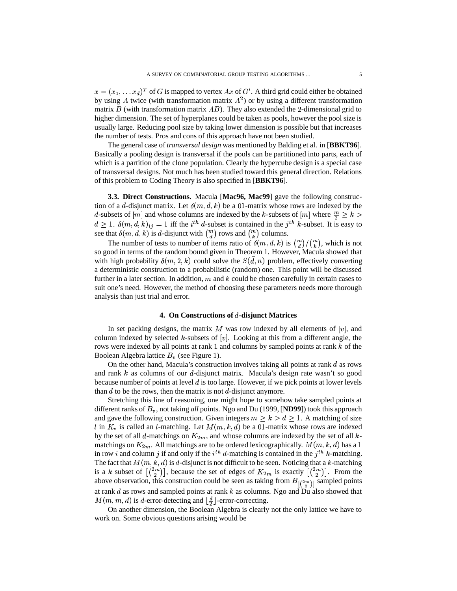$x = (x_1, \dots, x_d)^T$  of G is mapped to vertex Ax of G'. A third grid could either be obtained by using A twice (with transformation matrix  $A^2$ ) or by using a different transformation matrix  $B$  (with transformation matrix  $AB$ ). They also extended the 2-dimensional grid to higher dimension. The set of hyperplanes could be taken as pools, however the pool size is usually large. Reducing pool size by taking lower dimension is possible but that increases the number of tests. Pros and cons of this approach have not been studied.

The general case of *transversal design* was mentioned by Balding et al. in [**BBKT96**]. Basically a pooling design is transversal if the pools can be partitioned into parts, each of which is a partition of the clone population. Clearly the hypercube design is a special case of transversal designs. Not much has been studied toward this general direction. Relations of this problem to Coding Theory is also specified in [**BBKT96**].

**3.3. Direct Constructions.** Macula [**Mac96, Mac99**] gave the following construction of a d-disjunct matrix. Let  $\delta(m, d, k)$  be a 01-matrix whose rows are indexed by the d-subsets of  $[m]$  and whose columns are indexed by the k-subsets of  $[m]$  where  $\frac{m}{2} \ge k$  $d \geq 1$ .  $\delta(m, d, k)_{ij} = 1$  iff the *i*<sup>th</sup> d-subset is contained in the *j*<sup>th</sup> k-subset. It is easy to see that  $\delta(m, d, k)$  is d-disjunct with  $\binom{m}{d}$  rows and  $\binom{m}{k}$  columns.

The number of tests to number of items ratio of  $\delta(m, d, k)$  is  $\binom{m}{d} \binom{m}{k}$ , which is not so good in terms of the random bound given in Theorem 1. However, Macula showed that with high probability  $\delta(m,2,k)$  could solve the  $S(d,n)$  problem, effectively converting a deterministic construction to a probabilistic (random) one. This point will be discussed further in a later section. In addition, m and  $k$  could be chosen carefully in certain cases to suit one's need. However, the method of choosing these parameters needs more thorough analysis than just trial and error.

# **4. On Constructions of -disjunct Matrices**

In set packing designs, the matrix M was row indexed by all elements of  $[v]$ , and column indexed by selected  $k$ -subsets of  $[v]$ . Looking at this from a different angle, the rows were indexed by all points at rank 1 and columns by sampled points at rank  $k$  of the Boolean Algebra lattice  $B_n$  (see Figure 1).

On the other hand, Macula's construction involves taking all points at rank  $d$  as rows and rank  $k$  as columns of our d-disjunct matrix. Macula's design rate wasn't so good because number of points at level  $d$  is too large. However, if we pick points at lower levels than  $d$  to be the rows, then the matrix is not  $d$ -disjunct anymore.

Stretching this line of reasoning, one might hope to somehow take sampled points at different ranks of  $B_v$ , not taking *all* points. Ngo and Du (1999, [ND99]) took this approach and gave the following construction. Given integers  $m \geq k > d \geq 1$ . A matching of size l in  $K_v$  is called an l-matching. Let  $M(m, k, d)$  be a 01-matrix whose rows are indexed by the set of all d-matchings on  $K_{2m}$ , and whose columns are indexed by the set of all kmatchings on  $K_{2m}$ . All matchings are to be ordered lexicographically.  $M(m, k, d)$  has a 1 in row *i* and column *j* if and only if the *i*<sup>th</sup> d-matching is contained in the *j*<sup>th</sup> k-matching. The fact that  $M(m, k, d)$  is d-disjunct is not difficult to be seen. Noticing that a k-matching is a k subset of  $\lfloor {2m \choose 2} \rfloor$ , because the set of edges of  $K_{2m}$  is exactly  $\lfloor {2m \choose 2} \rfloor$ . From the above observation, this construction could be seen as taking from  $B_{\left[\binom{2m}{2}\right]}$  sampled points at rank  $d$  as rows and sampled points at rank  $k$  as columns. Ngo and Du also showed that  $M(m, m, d)$  is d-error-detecting and  $\lfloor \frac{d}{2} \rfloor$ -error-correcting.

On another dimension, the Boolean Algebra is clearly not the only lattice we have to work on. Some obvious questions arising would be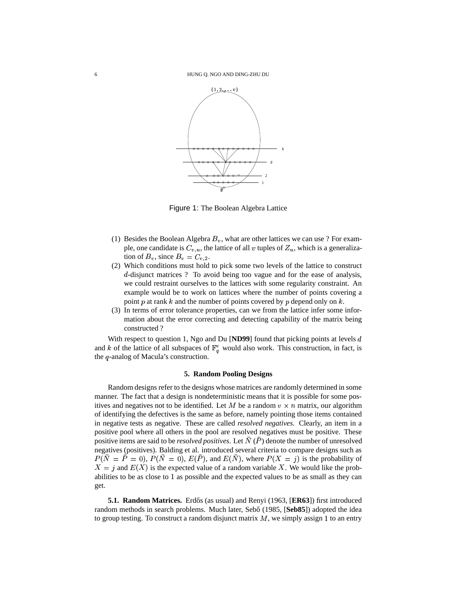

Figure 1: The Boolean Algebra Lattice

- (1) Besides the Boolean Algebra  $B_v$ , what are other lattices we can use ? For example, one candidate is  $C_{v,u}$ , the lattice of all v tuples of  $Z_u$ , which is a generalization of  $B_v$ , since  $B_v = C_{v,2}$ .
- (2) Which conditions must hold to pick some two levels of the lattice to construct d-disjunct matrices ? To avoid being too vague and for the ease of analysis, we could restraint ourselves to the lattices with some regularity constraint. An example would be to work on lattices where the number of points covering a point p at rank k and the number of points covered by p depend only on  $k$ .
- (3) In terms of error tolerance properties, can we from the lattice infer some information about the error correcting and detecting capability of the matrix being constructed ?

With respect to question 1, Ngo and Du [**ND99**] found that picking points at levels d and k of the lattice of all subspaces of  $\mathbb{F}_q^v$  would also work. This construction, in fact, is the  $q$ -analog of Macula's construction.

# **5. Random Pooling Designs**

Random designs refer to the designs whose matrices are randomly determined in some manner. The fact that a design is nondeterministic means that it is possible for some positives and negatives not to be identified. Let M be a random  $v \times n$  matrix, our algorithm of identifying the defectives is the same as before, namely pointing those items contained in negative tests as negative. These are called *resolved negatives*. Clearly, an item in a positive pool where all others in the pool are resolved negatives must be positive. These positive items are said to be *resolved positives*. Let N (P) denote the number of unresolved negatives (positives). Balding et al. introduced several criteria to compare designs such as  $P(N = P = 0)$ ,  $P(N = 0)$ ,  $E(P)$ , and  $E(N)$ , where  $P(X = j)$  is the probability of  $X = j$  and  $E(X)$  is the expected value of a random variable X. We would like the probabilities to be as close to 1 as possible and the expected values to be as small as they can get.

**5.1. Random Matrices.** Erdős (as usual) and Renyi (1963, [ER63]) first introduced random methods in search problems. Much later, Sebo<sup>*c*</sup> (1985, [**Seb85**]) adopted the idea to group testing. To construct a random disjunct matrix  $M$ , we simply assign 1 to an entry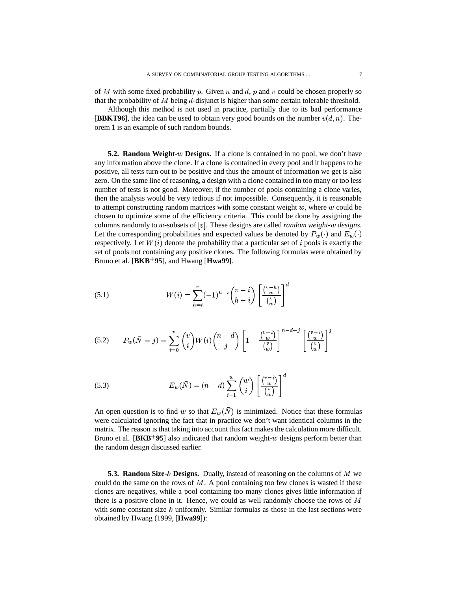of M with some fixed probability p. Given n and d, p and v could be chosen properly so that the probability of  $M$  being  $d$ -disjunct is higher than some certain tolerable threshold.

Although this method is not used in practice, partially due to its bad performance [BBKT96], the idea can be used to obtain very good bounds on the number  $v(d, n)$ . Theorem 1 is an example of such random bounds.

**5.2. Random Weight-** $w$  **Designs.** If a clone is contained in no pool, we don't have any information above the clone. If a clone is contained in every pool and it happens to be positive, all tests turn out to be positive and thus the amount of information we get is also zero. On the same line of reasoning, a design with a clone contained in too many or too less number of tests is not good. Moreover, if the number of pools containing a clone varies, then the analysis would be very tedious if not impossible. Consequently, it is reasonable to attempt constructing random matrices with some constant weight  $w$ , where  $w$  could be chosen to optimize some of the efficiency criteria. This could be done by assigning the columns randomly to  $w$ -subsets of  $[v]$ . These designs are called *random weight-w designs*. Let the corresponding probabilities and expected values be denoted by  $P_w(\cdot)$  and  $E_w(\cdot)$ respectively. Let  $W(i)$  denote the probability that a particular set of  $i$  pools is exactly the set of pools not containing any positive clones. The following formulas were obtained by Bruno et al. [**BKB 95**], and Hwang [**Hwa99**].

(5.1) 
$$
W(i) = \sum_{h=i}^{v} (-1)^{h-i} {v-i \choose h-i} \left[ \frac{{v-h \choose w}}{{v \choose w}} \right]^d
$$

$$
(5.2) \qquad P_w(\bar{N}=j) = \sum_{i=0}^v \binom{v}{i} W(i) \binom{n-d}{j} \left[1 - \frac{\binom{v-i}{w}}{\binom{v}{w}}\right]^{n-d-j} \left[\frac{\binom{v-i}{w}}{\binom{v}{w}}\right]^j
$$

(5.3) 
$$
E_w(\bar{N}) = (n-d) \sum_{i=1}^w {w \choose i} \left[ \frac{{v-i}}{w} \right]^d
$$

An open question is to find w so that  $E_w(N)$  is minimized. Notice that these formulas were calculated ignoring the fact that in practice we don't want identical columns in the matrix. The reason is that taking into account this fact makes the calculation more difficult. Bruno et al.  $[BKB^+95]$  also indicated that random weight- $w$  designs perform better than the random design discussed earlier.

**5.3. Random Size-** $k$  Designs. Dually, instead of reasoning on the columns of M we could do the same on the rows of  $M$ . A pool containing too few clones is wasted if these clones are negatives, while a pool containing too many clones gives little information if there is a positive clone in it. Hence, we could as well randomly choose the rows of  $M$ with some constant size  $k$  uniformly. Similar formulas as those in the last sections were obtained by Hwang (1999, [**Hwa99**]):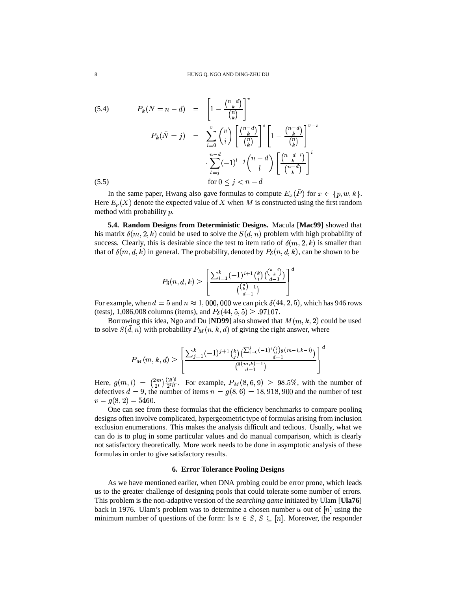(5.4) 
$$
P_k(\bar{N} = n - d) = \left[1 - \frac{\binom{n-d}{k}}{\binom{n}{k}}\right]^v
$$

$$
P_k(\bar{N} = j) = \sum_{i=0}^v \binom{v}{i} \left[\frac{\binom{n-d}{k}}{\binom{n}{k}}\right]^i \left[1 - \frac{\binom{n-d}{k}}{\binom{n}{k}}\right]^{v-i}
$$

$$
\cdot \sum_{l=j}^{n-d} (-1)^{l-j} \binom{n-d}{l} \left[\frac{\binom{n-d-l}{k}}{\binom{n-d}{k}}\right]^i
$$

$$
(5.5) \qquad \text{for } 0 \le j < n - d
$$

In the same paper, Hwang also gave formulas to compute  $E_x(P)$  for  $x \in \{p, w, k\}$ . Here  $E_p(X)$  denote the expected value of X when M is constructed using the first random method with probability  $p$ .

**5.4. Random Designs from Deterministic Designs.** Macula [**Mac99**] showed that his matrix  $\delta(m, 2, k)$  could be used to solve the  $S(d, n)$  problem with high probability of success. Clearly, this is desirable since the test to item ratio of  $\delta(m, 2, k)$  is smaller than that of  $\delta(m, d, k)$  in general. The probability, denoted by  $P_{\delta}(n, d, k)$ , can be shown to be

$$
P_\delta(n,d,k) \geq \left[ \frac{\sum_{i=1}^k (-1)^{i+1} \binom{k}{i} \binom{\binom{n-i}{k}}{d-1}}{\binom{\binom{n}{k}-1}{d-1}} \right]^d
$$

For example, when  $d = 5$  and  $n \approx 1,000,000$  we can pick  $\delta(44, 2, 5)$ , which has 946 rows (tests), 1,086,008 columns (items), and  $P_{\delta}(44, 5, 5) \geq .97107$ .

Borrowing this idea, Ngo and Du [ND99] also showed that  $M(m, k, 2)$  could be used to solve  $S(d, n)$  with probability  $P_M(n, k, d)$  of giving the right answer, where

$$
P_M(m,k,d) \geq \left[ \frac{\sum_{j=1}^k (-1)^{j+1} \binom{k}{j} \binom{\sum_{i=0}^j (-1)^i \binom{j}{i} g(m-i,k-i)}{d-1}}{\binom{g(m,k)-1}{d-1}} \right]^d
$$

Here,  $g(m,l) = \binom{2m}{2l} \frac{(2l)!}{2^l l!}$ . For ex- $\frac{1}{2}$ . For example,  $P_M(8, 6, 9) \ge 98.5\%$ , with the number of defectives  $d = 9$ , the number of items  $n = g(8, 6) = 18,918,900$  and the number of test  $v = g(8, 2) = 5460.$ 

One can see from these formulas that the efficiency benchmarks to compare pooling designs often involve complicated, hypergeometric type of formulas arising from inclusion exclusion enumerations. This makes the analysis difficult and tedious. Usually, what we can do is to plug in some particular values and do manual comparison, which is clearly not satisfactory theoretically. More work needs to be done in asymptotic analysis of these formulas in order to give satisfactory results.

## **6. Error Tolerance Pooling Designs**

As we have mentioned earlier, when DNA probing could be error prone, which leads us to the greater challenge of designing pools that could tolerate some number of errors. This problem is the non-adaptive version of the *searching game* initiated by Ulam [**Ula76**] back in 1976. Ulam's problem was to determine a chosen number  $u$  out of  $[n]$  using the minimum number of questions of the form: Is  $u \in S$ ,  $S \subseteq [n]$ . Moreover, the responder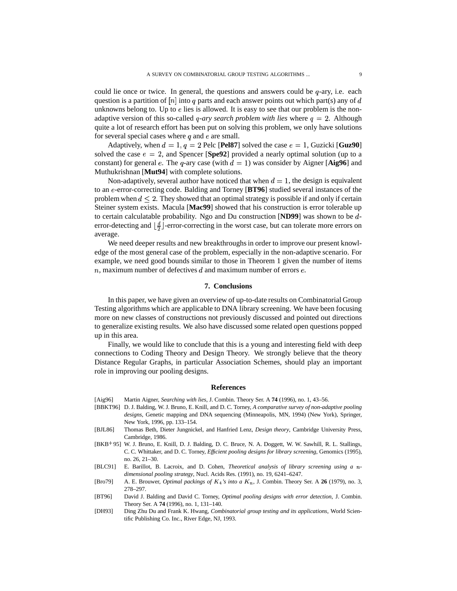could lie once or twice. In general, the questions and answers could be  $q$ -ary, i.e. each question is a partition of  $[n]$  into q parts and each answer points out which part(s) any of d unknowns belong to. Up to  $e$  lies is allowed. It is easy to see that our problem is the nonadaptive version of this so-called *q-ary search problem with lies* where  $q = 2$ . Although quite a lot of research effort has been put on solving this problem, we only have solutions for several special cases where  $q$  and  $e$  are small.

Adaptively, when  $d = 1, q = 2$  Pelc [Pel87] solved the case  $e = 1$ , Guzicki [Guz90] solved the case  $e = 2$ , and Spencer [Spe92] provided a nearly optimal solution (up to a constant) for general e. The  $q$ -ary case (with  $d = 1$ ) was consider by Aigner [Aig96] and Muthukrishnan [**Mut94**] with complete solutions.

Non-adaptively, several author have noticed that when  $d = 1$ , the design is equivalent to an e-error-correcting code. Balding and Torney [**BT96**] studied several instances of the problem when  $d \leq 2$ . They showed that an optimal strategy is possible if and only if certain Steiner system exists. Macula [**Mac99**] showed that his construction is error tolerable up to certain calculatable probability. Ngo and Du construction [**ND99**] was shown to be error-detecting and  $\left\lfloor \frac{d}{2} \right\rfloor$ -error-correcting in the worst case, but can tolerate more errors on average.

We need deeper results and new breakthroughs in order to improve our present knowledge of the most general case of the problem, especially in the non-adaptive scenario. For example, we need good bounds similar to those in Theorem 1 given the number of items  $n$ , maximum number of defectives  $d$  and maximum number of errors  $e$ .

# **7. Conclusions**

In this paper, we have given an overview of up-to-date results on Combinatorial Group Testing algorithms which are applicable to DNA library screening. We have been focusing more on new classes of constructions not previously discussed and pointed out directions to generalize existing results. We also have discussed some related open questions popped up in this area.

Finally, we would like to conclude that this is a young and interesting field with deep connections to Coding Theory and Design Theory. We strongly believe that the theory Distance Regular Graphs, in particular Association Schemes, should play an important role in improving our pooling designs.

#### **References**

- [Aig96] Martin Aigner, *Searching with lies*, J. Combin. Theory Ser. A **74** (1996), no. 1, 43–56.
- [BBKT96] D. J. Balding, W.J. Bruno, E. Knill, and D. C. Torney, *A comparative survey of non-adaptive pooling designs*, Genetic mapping and DNA sequencing (Minneapolis, MN, 1994) (New York), Springer, New York, 1996, pp. 133–154.
- [BJL86] Thomas Beth, Dieter Jungnickel, and Hanfried Lenz, *Design theory*, Cambridge University Press, Cambridge, 1986.
- [BKB 95] W. J. Bruno, E. Knill, D. J. Balding, D. C. Bruce, N. A. Doggett, W. W. Sawhill, R. L. Stallings, C. C. Whittaker, and D. C. Torney, *Efficient pooling designs for library screening*, Genomics (1995), no. 26, 21–30.
- [BLC91] E. Barillot, B. Lacroix, and D. Cohen, *Theoretical analysis of library screening using a dimensional pooling strategy*, Nucl. Acids Res. (1991), no. 19, 6241–6247.
- [Bro79] A. E. Brouwer, *Optimal packings of*  $K_4$ 's *into*  $a K_n$ , J. Combin. Theory Ser. A 26 (1979), no. 3, 278–297.
- [BT96] David J. Balding and David C. Torney, *Optimal pooling designs with error detection*, J. Combin. Theory Ser. A **74** (1996), no. 1, 131–140.
- [DH93] Ding Zhu Du and Frank K. Hwang, *Combinatorial group testing and its applications*, World Scientific Publishing Co. Inc., River Edge, NJ, 1993.